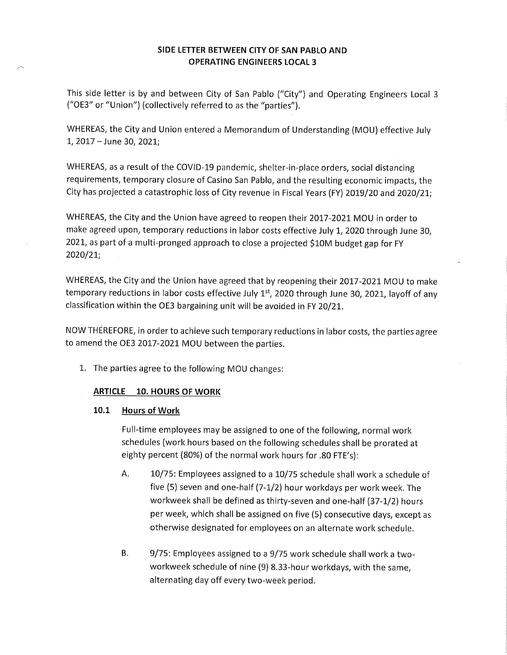#### SIDE LETTER BETWEEN CITY OF SAN PABLO AND OPERATING ENGINEERS LOCAL 3

This side letter is by and between City of San Pablo ("City") and Operating Engineers Local 3 ("OE3" or "Union") (collectively referred to as the "parties"),

WHEREAS, the City and Union entered a Memorandum of Understanding (MOU) effective July 1,2017-June 30, 2021;

WHEREAS, as a result of the COVID-19 pandemic, shelter-in-place orders, social distancing requirements, temporary closure of Casino San Pablo, and the resulting economic impacts, the City has projected a catastrophic loss of City revenue in Fiscal Years (FY) 2019/20 and 2020/21;

WHEREAS, the City and the Union have agreed to reopen their 2017-2021 MOU in order to make agreed upon, temporary reductions in labor costs effective July 1, 2020 through June 30, 2021, as part of a multi-pronged approach to close a projected \$10M budget gap for FY 2020/21;

WHEREAS, the City and the Union have agreed that by reopening their 2017-2021 MOU to make temporary reductions in labor costs effective July 1st, 2020 through June 30, 2021, layoff of any classification within the OE3 bargaining unit will be avoided in FY 20/21.

NOW THEREFORE, in order to achieve such temporary reductions in labor costs, the parties agree to amend the OE3 2017-2021 MOU between the parties.

1. The parties agree to the following MOD changes:

# **ARTICLE 10. HOURS OF WORK**

#### 10.1 Hours of Work

Full-time employees may be assigned to one of the following, normal work schedules (work hours based on the following schedules shall be prorated at eighty percent (80%) of the normal work hours for .80 FTE's):

- A. 10/75: Employees assigned to a 10/75 schedule shall work a schedule of five (5) seven and one-half (7-1/2) hour workdays per work week.The workweek shall be defined as thirty-seven and one-half (37-1/2) hours per week, which shall be assigned on five (5) consecutive days, except as otherwise designated for employees on an alternate work schedule.
- B. 9/75: Employees assigned to a 9/75 work schedule shall work a twoworkweek schedule of nine (9) 8.33-hour workdays, with the same, alternating day off every two-week period,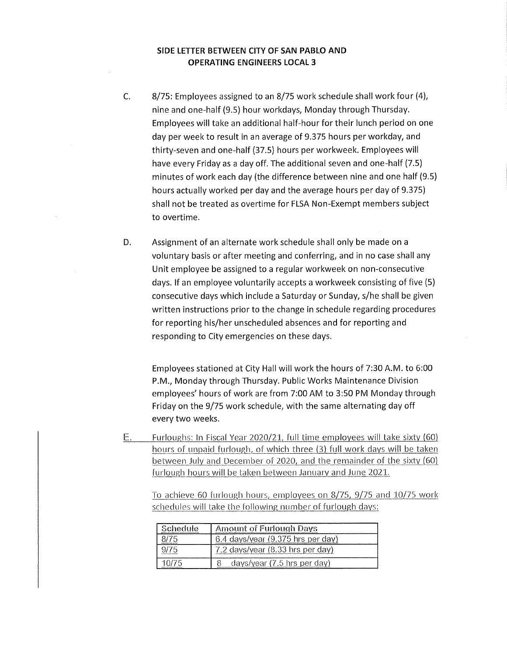#### SIDE LETTER BETWEEN CITY OF SAN PABLO AND OPERATING ENGINEERS LOCAL 3

- C, 8/75: Employees assigned to an 8/75 work schedule shall work four (4), nine and one-half (9.5) hour workdays, Monday through Thursday. Employees will take an additional half-hour for their lunch period on one day per week to result in an average of 9,375 hours per workday, and thirty-seven and one-half (37.5) hours per workweek. Employees will have every Friday as a day off. The additional seven and one-half (7.5) minutes of work each day (the difference between nine and one half (9.5) hours actually worked per day and the average hours per day of 9.375) shall not be treated as overtime for FLSA Non-Exempt members subject to overtime.
- D. Assignment of an alternate work schedule shall only be made on a voluntary basis or after meeting and conferring, and in no case shall any Unit employee be assigned to a regular workweek on non-consecutive days. If an employee voluntarily accepts a workweek consisting of five (5) consecutive days which include a Saturday or Sunday, s/he shall be given written instructions prior to the change in schedule regarding procedures for reporting his/her unscheduled absences and for reporting and responding to City emergencies on these days.

Employees stationed at City Hall will work the hours of 7:30 A.M. to 6:00 P.M., Monday through Thursday. Public Works Maintenance Division employees' hours of work are from 7:00 AM to 3:50 PM Monday through Friday on the 9/75 work schedule, with the same alternating day off every two weeks.

 $\equiv$ Furloughs; In Fiscal Year 2020/21, full time employees will take sixty (60) hours of unpaid furlough, of which three (3) full work days will be taken between July and December of 2020, and the remainder of the sixty (60) furlough hours will be taken between January and June 2021.

To achieve 60 furlough hours, employees on 8/75, 9/75 and 10/75 work schedules will take the following number of furlough days:

| Schedule | <b>Amount of Furlough Days</b>        |
|----------|---------------------------------------|
|          | 6.4 days/year (9.375 hrs per day)     |
|          | 7.2 davs/vear (8.33 hrs per dav)      |
|          | days/year $(7.5 \text{ hrs per day})$ |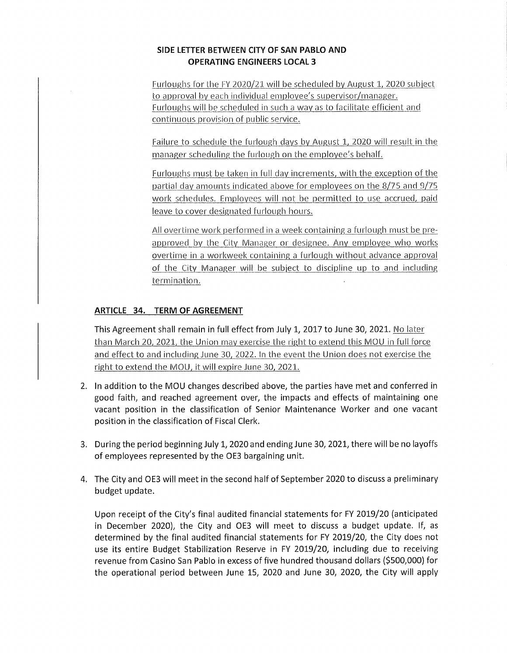### SIDE LETTER BETWEEN CITY OF SAN PABLO AND OPERATING ENGINEERS LOCALS

Furloughs for the FY 2020/21 will be scheduled by August 1, 2020 subject to approval by each individual employee's supervisor/manager. Furloughs will be scheduled in such a way as to facilitate efficient and continuous provision of public service.

Failure to schedule the furlough days by August 1, 2020 will result in the manager scheduling the furlough on the employee's behalf.

Furloughs must be taken in full day increments, with the exception of the partial day amounts indicated above for employees on the 8/75 and 9/75 work schedules. Employees will not be permitted to use accrued, paid leave to cover designated furlough hours.

All overtime work performed in a week containing a furlough must be preapproved by the City Manager or designee. Any employee who works overtime in a workweek containing a furlough without advance approval of the City Manager will be subject to discipline up to and including termination.

# ARTICLE 34. TERM OF AGREEMENT

This Agreement shall remain in full effect from July 1, 2017 to June 30, 2021. No later than March 20, 2021, the Union may exercise the right to extend this MOU in full force and effect to and including June 30, 2022. In the event the Union does not exercise the right to extend the MOD, it will expire June 30, 2021.

- 2. In addition to the MOU changes described above, the parties have met and conferred in good faith, and reached agreement over, the impacts and effects of maintaining one vacant position in the classification of Senior Maintenance Worker and one vacant position in the classification of Fiscal Clerk.
- 3. During the period beginning July 1, 2020 and ending June 30, 2021, there will be no layoffs of employees represented by the OE3 bargaining unit.
- 4. The City and OE3 will meet in the second half of September 2020 to discuss a preliminary budget update.

Upon receipt of the City's final audited financial statements for FY 2019/20 (anticipated in December 2020), the City and OE3 will meet to discuss a budget update. If, as determined by the final audited financial statements for FY 2019/20, the City does not use its entire Budget Stabilization Reserve in FY 2019/20, including due to receiving revenue from Casino San Pablo in excess of five hundred thousand dollars (\$500,000) for the operational period between June 15, 2020 and June 30, 2020, the City will apply